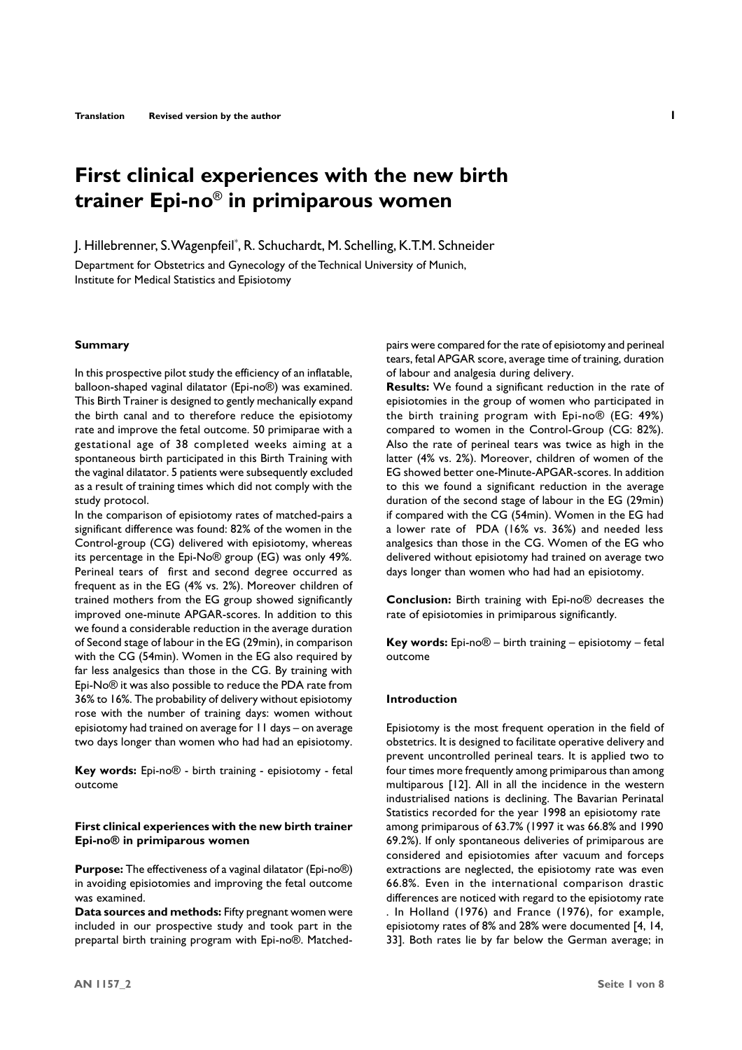# **First clinical experiences with the new birth trainer Epi-no**® **in primiparous women**

J. Hillebrenner, S. Wagenpfeil\* , R. Schuchardt, M. Schelling, K.T.M. Schneider

Department for Obstetrics and Gynecology of the Technical University of Munich, Institute for Medical Statistics and Episiotomy

#### **Summary**

In this prospective pilot study the efficiency of an inflatable, balloon-shaped vaginal dilatator (Epi-no®) was examined. This Birth Trainer is designed to gently mechanically expand the birth canal and to therefore reduce the episiotomy rate and improve the fetal outcome. 50 primiparae with a gestational age of 38 completed weeks aiming at a spontaneous birth participated in this Birth Training with the vaginal dilatator. 5 patients were subsequently excluded as a result of training times which did not comply with the study protocol.

In the comparison of episiotomy rates of matched-pairs a significant difference was found: 82% of the women in the Control-group (CG) delivered with episiotomy, whereas its percentage in the Epi-No® group (EG) was only 49%. Perineal tears of first and second degree occurred as frequent as in the EG (4% vs. 2%). Moreover children of trained mothers from the EG group showed significantly improved one-minute APGAR-scores. In addition to this we found a considerable reduction in the average duration of Second stage of labour in the EG (29min), in comparison with the CG (54min). Women in the EG also required by far less analgesics than those in the CG. By training with Epi-No® it was also possible to reduce the PDA rate from 36% to 16%. The probability of delivery without episiotomy rose with the number of training days: women without episiotomy had trained on average for 11 days – on average two days longer than women who had had an episiotomy.

**Key words:** Epi-no® - birth training - episiotomy - fetal outcome

## **First clinical experiences with the new birth trainer Epi-no® in primiparous women**

**Purpose:** The effectiveness of a vaginal dilatator (Epi-no®) in avoiding episiotomies and improving the fetal outcome was examined.

**Data sources and methods:** Fifty pregnant women were included in our prospective study and took part in the prepartal birth training program with Epi-no®. Matchedpairs were compared for the rate of episiotomy and perineal tears, fetal APGAR score, average time of training, duration of labour and analgesia during delivery.

**Results:** We found a significant reduction in the rate of episiotomies in the group of women who participated in the birth training program with Epi-no® (EG: 49%) compared to women in the Control-Group (CG: 82%). Also the rate of perineal tears was twice as high in the latter (4% vs. 2%). Moreover, children of women of the EG showed better one-Minute-APGAR-scores. In addition to this we found a significant reduction in the average duration of the second stage of labour in the EG (29min) if compared with the CG (54min). Women in the EG had a lower rate of PDA (16% vs. 36%) and needed less analgesics than those in the CG. Women of the EG who delivered without episiotomy had trained on average two days longer than women who had had an episiotomy.

**Conclusion:** Birth training with Epi-no® decreases the rate of episiotomies in primiparous significantly.

**Key words:** Epi-no® – birth training – episiotomy – fetal outcome

### **Introduction**

Episiotomy is the most frequent operation in the field of obstetrics. It is designed to facilitate operative delivery and prevent uncontrolled perineal tears. It is applied two to four times more frequently among primiparous than among multiparous [12]. All in all the incidence in the western industrialised nations is declining. The Bavarian Perinatal Statistics recorded for the year 1998 an episiotomy rate among primiparous of 63.7% (1997 it was 66.8% and 1990 69.2%). If only spontaneous deliveries of primiparous are considered and episiotomies after vacuum and forceps extractions are neglected, the episiotomy rate was even 66.8%. Even in the international comparison drastic differences are noticed with regard to the episiotomy rate . In Holland (1976) and France (1976), for example, episiotomy rates of 8% and 28% were documented [4, 14, 33]. Both rates lie by far below the German average; in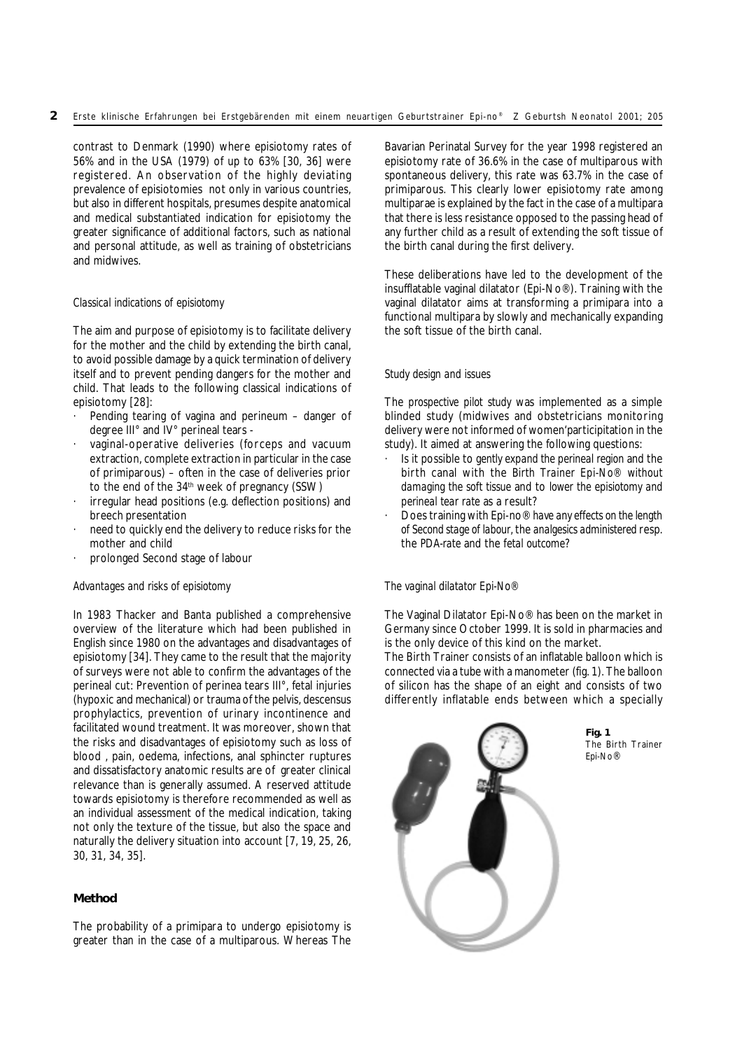contrast to Denmark (1990) where episiotomy rates of 56% and in the USA (1979) of up to 63% [30, 36] were registered. An observation of the highly deviating prevalence of episiotomies not only in various countries, but also in different hospitals, presumes despite anatomical and medical substantiated indication for episiotomy the greater significance of additional factors, such as national and personal attitude, as well as training of obstetricians and midwives.

# *Classical indications of episiotomy*

The aim and purpose of episiotomy is to facilitate delivery for the mother and the child by extending the birth canal, to avoid possible damage by a quick termination of delivery itself and to prevent pending dangers for the mother and child. That leads to the following classical indications of episiotomy [28]:

- Pending tearing of vagina and perineum danger of degree III° and IV° perineal tears -
- vaginal-operative deliveries (forceps and vacuum extraction, complete extraction in particular in the case of primiparous) – often in the case of deliveries prior to the end of the 34<sup>th</sup> week of pregnancy (SSW)
- irregular head positions (e.g. deflection positions) and breech presentation
- need to quickly end the delivery to reduce risks for the mother and child
- prolonged Second stage of labour

## *Advantages and risks of episiotomy*

In 1983 Thacker and Banta published a comprehensive overview of the literature which had been published in English since 1980 on the advantages and disadvantages of episiotomy [34]. They came to the result that the majority of surveys were not able to confirm the advantages of the perineal cut: Prevention of perinea tears III°, fetal injuries (hypoxic and mechanical) or trauma of the pelvis, descensus prophylactics, prevention of urinary incontinence and facilitated wound treatment. It was moreover, shown that the risks and disadvantages of episiotomy such as loss of blood , pain, oedema, infections, anal sphincter ruptures and dissatisfactory anatomic results are of greater clinical relevance than is generally assumed. A reserved attitude towards episiotomy is therefore recommended as well as an individual assessment of the medical indication, taking not only the texture of the tissue, but also the space and naturally the delivery situation into account [7, 19, 25, 26, 30, 31, 34, 35].

## **Method**

The probability of a primipara to undergo episiotomy is greater than in the case of a multiparous. Whereas The

Bavarian Perinatal Survey for the year 1998 registered an episiotomy rate of 36.6% in the case of multiparous with spontaneous delivery, this rate was 63.7% in the case of primiparous. This clearly lower episiotomy rate among multiparae is explained by the fact in the case of a multipara that there is less resistance opposed to the passing head of any further child as a result of extending the soft tissue of the birth canal during the first delivery.

These deliberations have led to the development of the insufflatable vaginal dilatator (Epi-No®). Training with the vaginal dilatator aims at transforming a primipara into a functional multipara by slowly and mechanically expanding the soft tissue of the birth canal.

# *Study design and issues*

The *prospective pilot study* was implemented as a simple blinded study (midwives and obstetricians monitoring delivery were not informed of women'participitation in the study). It aimed at answering the following questions:

- · Is it possible to *gently expand the perineal region* and the birth canal with the *Birth Trainer Epi-No® without damaging the soft tissue* and to *lower the episiotomy and perineal tear rate* as a result?
- · Does training with Epi-no® *have any effects on the length of Second stage of labour,* the *analgesics administered* resp. the *PDA-rate* and the *fetal outcome*?

## *The vaginal dilatator Epi-No®*

The Vaginal Dilatator Epi-No® has been on the market in Germany since October 1999. It is sold in pharmacies and is the only device of this kind on the market.

The Birth Trainer consists of an inflatable balloon which is connected via a tube with a manometer (fig. 1). The balloon of silicon has the shape of an eight and consists of two differently inflatable ends between which a specially

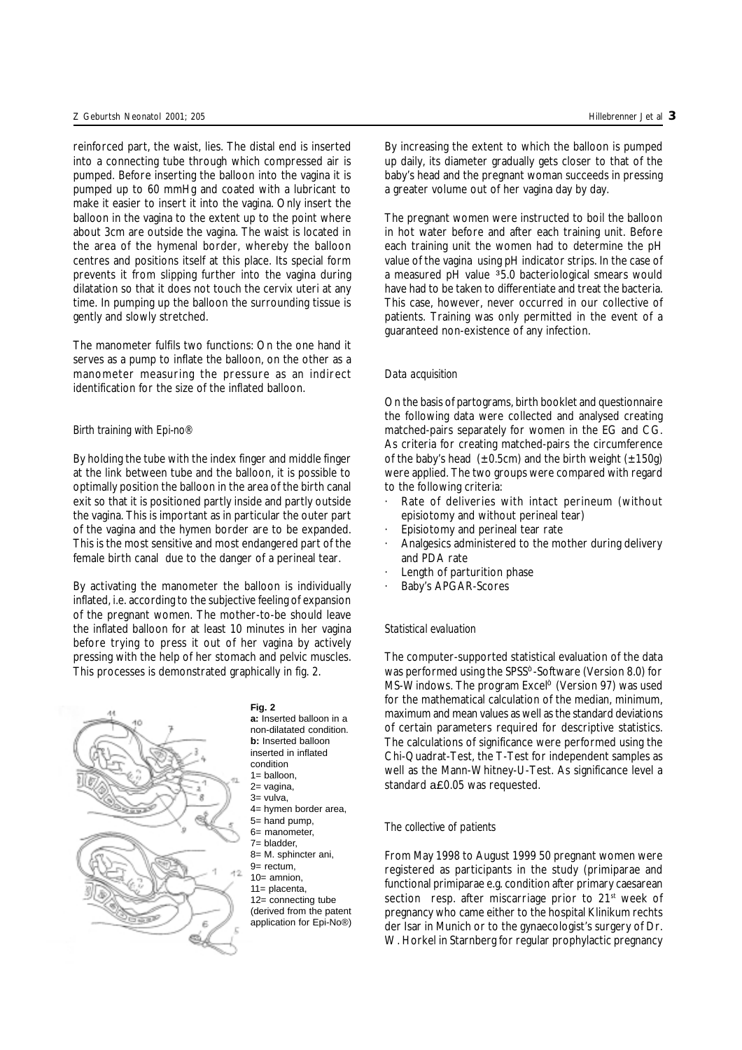reinforced part, the waist, lies. The distal end is inserted into a connecting tube through which compressed air is pumped. Before inserting the balloon into the vagina it is pumped up to 60 mmHg and coated with a lubricant to make it easier to insert it into the vagina. Only insert the balloon in the vagina to the extent up to the point where about 3cm are outside the vagina. The waist is located in the area of the hymenal border, whereby the balloon centres and positions itself at this place. Its special form prevents it from slipping further into the vagina during dilatation so that it does not touch the cervix uteri at any time. In pumping up the balloon the surrounding tissue is gently and slowly stretched.

The manometer fulfils two functions: On the one hand it serves as a pump to inflate the balloon, on the other as a manometer measuring the pressure as an indirect identification for the size of the inflated balloon.

## *Birth training with Epi-no®*

By holding the tube with the index finger and middle finger at the link between tube and the balloon, it is possible to optimally position the balloon in the area of the birth canal exit so that it is positioned partly inside and partly outside the vagina. This is important as in particular the outer part of the vagina and the hymen border are to be expanded. This is the most sensitive and most endangered part of the female birth canal due to the danger of a perineal tear.

By activating the manometer the balloon is individually inflated, i.e. according to the subjective feeling of expansion of the pregnant women. The mother-to-be should leave the inflated balloon for at least 10 minutes in her vagina before trying to press it out of her vagina by actively pressing with the help of her stomach and pelvic muscles. This processes is demonstrated graphically in fig. 2.



### **Fig. 2**

**a:** Inserted balloon in a non-dilatated condition. **b:** Inserted balloon inserted in inflated condition  $1=$  balloon. 2= vagina, 3= vulva, 4= hymen border area,  $5=$  hand pump. 6= manometer, 7= bladder, 8= M. sphincter ani, 9= rectum, 10= amnion, 11= placenta, 12= connecting tube (derived from the patent application for Epi-No®) By increasing the extent to which the balloon is pumped up daily, its diameter gradually gets closer to that of the baby's head and the pregnant woman succeeds in pressing a greater volume out of her vagina day by day.

The pregnant women were instructed to boil the balloon in hot water before and after each training unit. Before each training unit the women had to determine the pH value of the vagina using pH indicator strips. In the case of a measured pH value 35.0 bacteriological smears would have had to be taken to differentiate and treat the bacteria. This case, however, never occurred in our collective of patients. Training was only permitted in the event of a guaranteed non-existence of any infection.

## *Data acquisition*

On the basis of partograms, birth booklet and questionnaire the following data were collected and analysed creating matched-pairs separately for women in the EG and CG. As criteria for creating matched-pairs the circumference of the baby's head  $(\pm 0.5$ cm) and the birth weight  $(\pm 150g)$ were applied. The two groups were compared with regard to the following criteria:

- Rate of deliveries with intact perineum (without episiotomy and without perineal tear)
- Episiotomy and perineal tear rate
- Analgesics administered to the mother during delivery and PDA rate
- Length of parturition phase
- Baby's APGAR-Scores

## *Statistical evaluation*

The computer-supported statistical evaluation of the data was performed using the SPSS<sup>®</sup>-Software (Version 8.0) for MS-Windows. The program Excel<sup>®</sup> (Version 97) was used for the mathematical calculation of the median, minimum, maximum and mean values as well as the standard deviations of certain parameters required for descriptive statistics. The calculations of significance were performed using the Chi-Quadrat-Test, the T-Test for independent samples as well as the Mann-Whitney-U-Test. As significance level a standard a£0.05 was requested.

## *The collective of patients*

From May 1998 to August 1999 50 pregnant women were registered as participants in the study (primiparae and functional primiparae e.g. condition after primary caesarean section resp. after miscarriage prior to 21<sup>st</sup> week of pregnancy who came either to the hospital Klinikum rechts der Isar in Munich or to the gynaecologist's surgery of Dr. W. Horkel in Starnberg for regular prophylactic pregnancy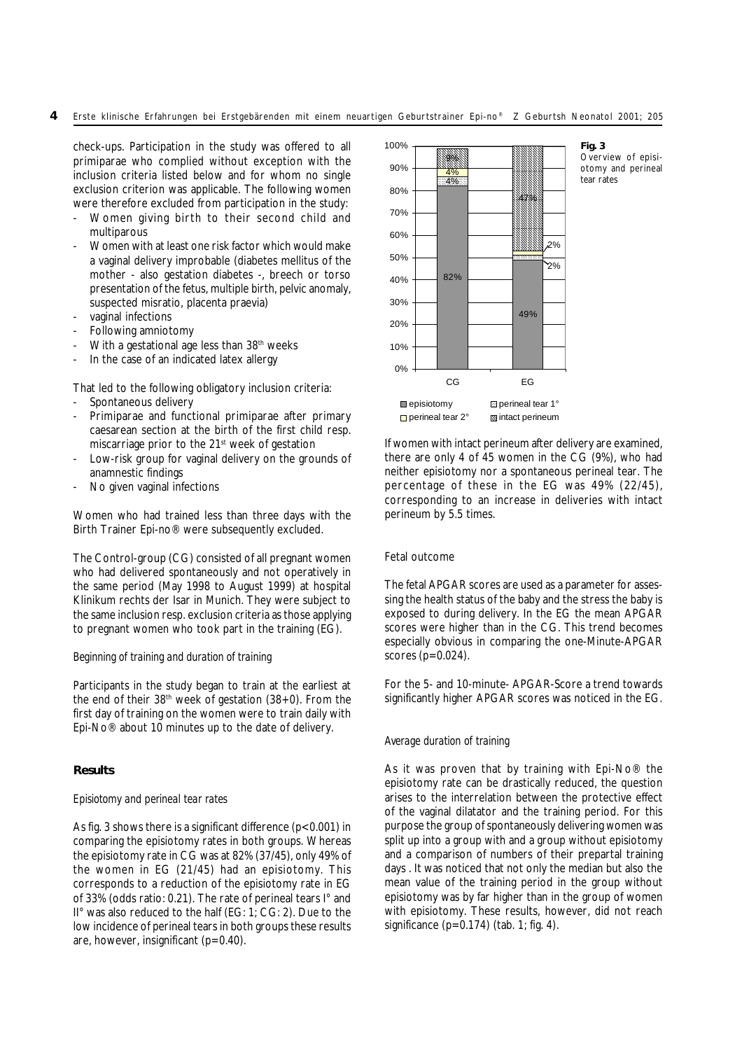# 4 Erste klinische Erfahrungen bei Erstgebärenden mit einem neuartigen Geburtstrainer Epi-no® Z Geburtsh Neonatol 2001; 205

check-ups. Participation in the study was offered to all primiparae who complied without exception with the inclusion criteria listed below and for whom no single exclusion criterion was applicable. The following women were therefore excluded from participation in the study:

- Women giving birth to their second child and multiparous
- Women with at least one risk factor which would make a vaginal delivery improbable (diabetes mellitus of the mother - also gestation diabetes -, breech or torso presentation of the fetus, multiple birth, pelvic anomaly, suspected misratio, placenta praevia)
- vaginal infections
- Following amniotomy
- With a gestational age less than 38<sup>th</sup> weeks
- In the case of an indicated latex allergy

That led to the following obligatory inclusion criteria:

- Spontaneous delivery
- Primiparae and functional primiparae after primary caesarean section at the birth of the first child resp. miscarriage prior to the 21<sup>st</sup> week of gestation
- Low-risk group for vaginal delivery on the grounds of anamnestic findings
- No given vaginal infections

Women who had trained less than three days with the Birth Trainer Epi-no® were subsequently excluded.

The Control-group (CG) consisted of all pregnant women who had delivered spontaneously and not operatively in the same period (May 1998 to August 1999) at hospital Klinikum rechts der Isar in Munich. They were subject to the same inclusion resp. exclusion criteria as those applying to pregnant women who took part in the training (EG).

## *Beginning of training and duration of training*

Participants in the study began to train at the earliest at the end of their  $38<sup>th</sup>$  week of gestation ( $38+0$ ). From the first day of training on the women were to train daily with Epi-No® about 10 minutes up to the date of delivery.

# **Results**

## *Episiotomy and perineal tear rates*

As fig. 3 shows there is a significant difference (p<0.001) in comparing the episiotomy rates in both groups. Whereas the episiotomy rate in CG was at 82% (37/45), only 49% of the women in EG (21/45) had an episiotomy. This corresponds to a reduction of the episiotomy rate in EG of 33% (odds ratio: 0.21). The rate of perineal tears I° and II° was also reduced to the half (EG: 1; CG: 2). Due to the low incidence of perineal tears in both groups these results are, however, insignificant  $(p=0.40)$ .



If women with intact perineum after delivery are examined, there are only 4 of 45 women in the CG (9%), who had neither episiotomy nor a spontaneous perineal tear. The percentage of these in the EG was 49% (22/45), corresponding to an increase in deliveries with intact perineum by 5.5 times.

## Fetal outcome

The fetal APGAR scores are used as a parameter for assessing the health status of the baby and the stress the baby is exposed to during delivery. In the EG the mean APGAR scores were higher than in the CG. This trend becomes especially obvious in comparing the one-Minute-APGAR scores ( $p=0.024$ ).

For the 5- and 10-minute- APGAR-Score a trend towards significantly higher APGAR scores was noticed in the EG.

## *Average duration of training*

As it was proven that by training with Epi-No® the episiotomy rate can be drastically reduced, the question arises to the interrelation between the protective effect of the vaginal dilatator and the training period. For this purpose the group of spontaneously delivering women was split up into a group with and a group without episiotomy and a comparison of numbers of their prepartal training days . It was noticed that not only the median but also the mean value of the training period in the group without episiotomy was by far higher than in the group of women with episiotomy. These results, however, did not reach significance  $(p=0.174)$  (tab. 1; fig. 4).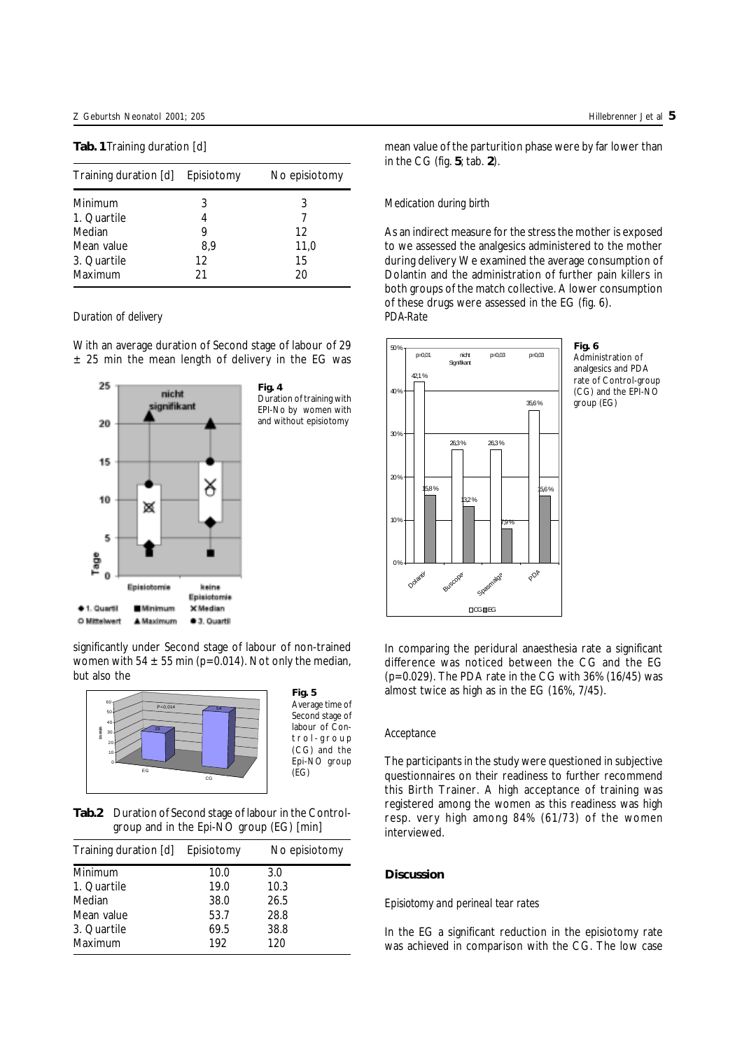## **Tab. 1**Training duration [d]

| Training duration [d] Episiotomy |     | No episiotomy |
|----------------------------------|-----|---------------|
| Minimum                          | 3   | 3             |
| 1. Quartile                      |     |               |
| Median                           |     | 12            |
| Mean value                       | 8,9 | 11,0          |
| 3. Quartile                      | 12  | 15            |
| Maximum                          | 21  | 20            |

#### *Duration of delivery*

With an average duration of Second stage of labour of 29  $±$  25 min the mean length of delivery in the EG was



Duration of training with EPI-No by women with and without episiotomy

significantly under Second stage of labour of non-trained women with 54  $\pm$  55 min (p=0.014). Not only the median, but also the



**Tab.2** Duration of Second stage of labour in the Controlgroup and in the Epi-NO group (EG) [min]

| Training duration [d] | Episiotomy | No episiotomy |
|-----------------------|------------|---------------|
| Minimum               | 10.0       | 3.0           |
| 1. Quartile           | 19.0       | 10.3          |
| Median                | 38.0       | 26.5          |
| Mean value            | 53.7       | 28.8          |
| 3. Quartile           | 69.5       | 38.8          |
| Maximum               | 192        | 120           |

mean value of the parturition phase were by far lower than in the CG (fig. **5**; tab. **2**).

## *Medication during birth*

As an indirect measure for the stress the mother is exposed to we assessed the analgesics administered to the mother during delivery We examined the average consumption of Dolantin and the administration of further pain killers in both groups of the match collective. A lower consumption of these drugs were assessed in the EG (fig. 6). *PDA-Rate*



**Fig. 6** Administration of analgesics and PDA rate of Control-group (CG) and the EPI-NO group (EG)

In comparing the peridural anaesthesia rate a significant difference was noticed between the CG and the EG (p=0.029). The PDA rate in the CG with 36% (16/45) was almost twice as high as in the EG (16%, 7/45).

### *Acceptance*

The participants in the study were questioned in subjective questionnaires on their readiness to further recommend this Birth Trainer. A high acceptance of training was registered among the women as this readiness was high resp. very high among 84% (61/73) of the women interviewed.

#### **Discussion**

## *Episiotomy and perineal tear rates*

In the EG a significant reduction in the episiotomy rate was achieved in comparison with the CG. The low case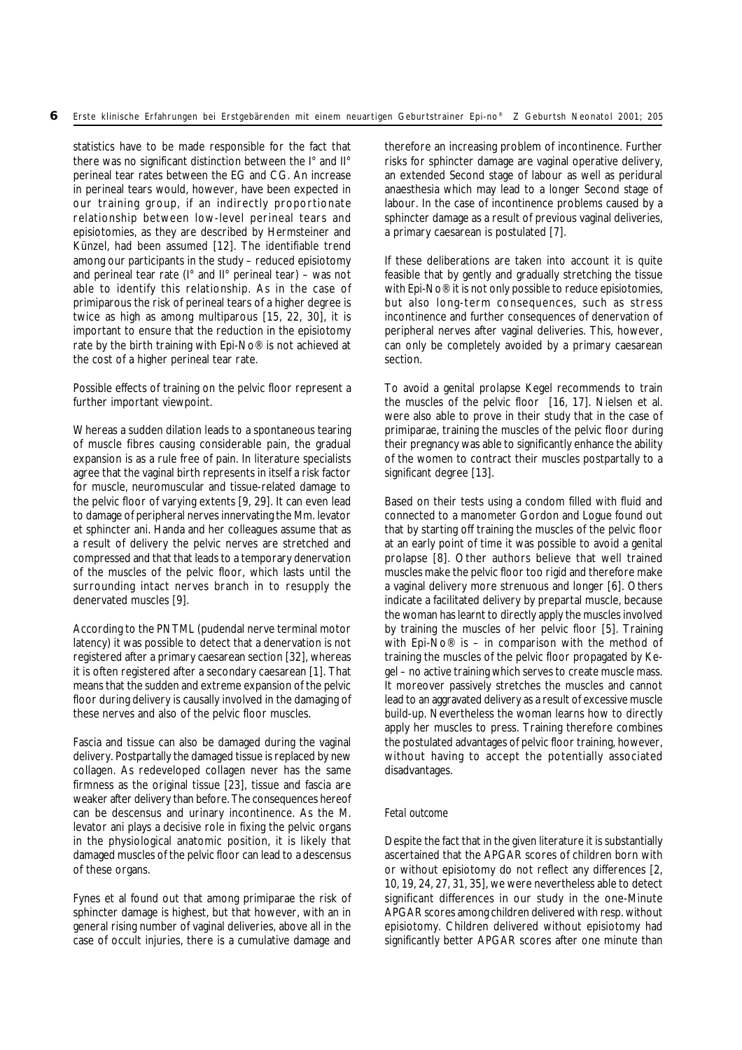statistics have to be made responsible for the fact that there was no significant distinction between the I° and II° perineal tear rates between the EG and CG. An increase in perineal tears would, however, have been expected in our training group, if an indirectly proportionate relationship between low-level perineal tears and episiotomies, as they are described by Hermsteiner and Künzel, had been assumed [12]. The identifiable trend among our participants in the study – reduced episiotomy and perineal tear rate (I° and II° perineal tear) – was not able to identify this relationship. As in the case of primiparous the risk of perineal tears of a higher degree is twice as high as among multiparous [15, 22, 30], it is important to ensure that the reduction in the episiotomy rate by the birth training with Epi-No® is not achieved at the cost of a higher perineal tear rate.

Possible effects of training on the pelvic floor represent a further important viewpoint.

Whereas a sudden dilation leads to a spontaneous tearing of muscle fibres causing considerable pain, the gradual expansion is as a rule free of pain. In literature specialists agree that the vaginal birth represents in itself a risk factor for muscle, neuromuscular and tissue-related damage to the pelvic floor of varying extents [9, 29]. It can even lead to damage of peripheral nerves innervating the Mm. levator et sphincter ani. Handa and her colleagues assume that as a result of delivery the pelvic nerves are stretched and compressed and that that leads to a temporary denervation of the muscles of the pelvic floor, which lasts until the surrounding intact nerves branch in to resupply the denervated muscles [9].

According to the PNTML (pudendal nerve terminal motor latency) it was possible to detect that a denervation is not registered after a primary caesarean section [32], whereas it is often registered after a secondary caesarean [1]. That means that the sudden and extreme expansion of the pelvic floor during delivery is causally involved in the damaging of these nerves and also of the pelvic floor muscles.

Fascia and tissue can also be damaged during the vaginal delivery. Postpartally the damaged tissue is replaced by new collagen. As redeveloped collagen never has the same firmness as the original tissue [23], tissue and fascia are weaker after delivery than before. The consequences hereof can be descensus and urinary incontinence. As the M. levator ani plays a decisive role in fixing the pelvic organs in the physiological anatomic position, it is likely that damaged muscles of the pelvic floor can lead to a descensus of these organs.

Fynes et al found out that among primiparae the risk of sphincter damage is highest, but that however, with an in general rising number of vaginal deliveries, above all in the case of occult injuries, there is a cumulative damage and

therefore an increasing problem of incontinence. Further risks for sphincter damage are vaginal operative delivery, an extended Second stage of labour as well as peridural anaesthesia which may lead to a longer Second stage of labour. In the case of incontinence problems caused by a sphincter damage as a result of previous vaginal deliveries, a primary caesarean is postulated [7].

If these deliberations are taken into account it is quite feasible that by gently and gradually stretching the tissue with Epi-No® it is not only possible to reduce episiotomies, but also long-term consequences, such as stress incontinence and further consequences of denervation of peripheral nerves after vaginal deliveries. This, however, can only be completely avoided by a primary caesarean section.

To avoid a genital prolapse Kegel recommends to train the muscles of the pelvic floor [16, 17]. Nielsen et al. were also able to prove in their study that in the case of primiparae, training the muscles of the pelvic floor during their pregnancy was able to significantly enhance the ability of the women to contract their muscles postpartally to a significant degree [13].

Based on their tests using a condom filled with fluid and connected to a manometer Gordon and Logue found out that by starting off training the muscles of the pelvic floor at an early point of time it was possible to avoid a genital prolapse [8]. Other authors believe that well trained muscles make the pelvic floor too rigid and therefore make a vaginal delivery more strenuous and longer [6]. Others indicate a facilitated delivery by prepartal muscle, because the woman has learnt to directly apply the muscles involved by training the muscles of her pelvic floor [5]. Training with Epi-No<sup>®</sup> is – in comparison with the method of training the muscles of the pelvic floor propagated by Kegel – no active training which serves to create muscle mass. It moreover passively stretches the muscles and cannot lead to an aggravated delivery as a result of excessive muscle build-up. Nevertheless the woman learns how to directly apply her muscles to press. Training therefore combines the postulated advantages of pelvic floor training, however, without having to accept the potentially associated disadvantages.

# *Fetal outcome*

Despite the fact that in the given literature it is substantially ascertained that the APGAR scores of children born with or without episiotomy do not reflect any differences [2, 10, 19, 24, 27, 31, 35], we were nevertheless able to detect significant differences in our study in the one-Minute APGAR scores among children delivered with resp. without episiotomy. Children delivered without episiotomy had significantly better APGAR scores after one minute than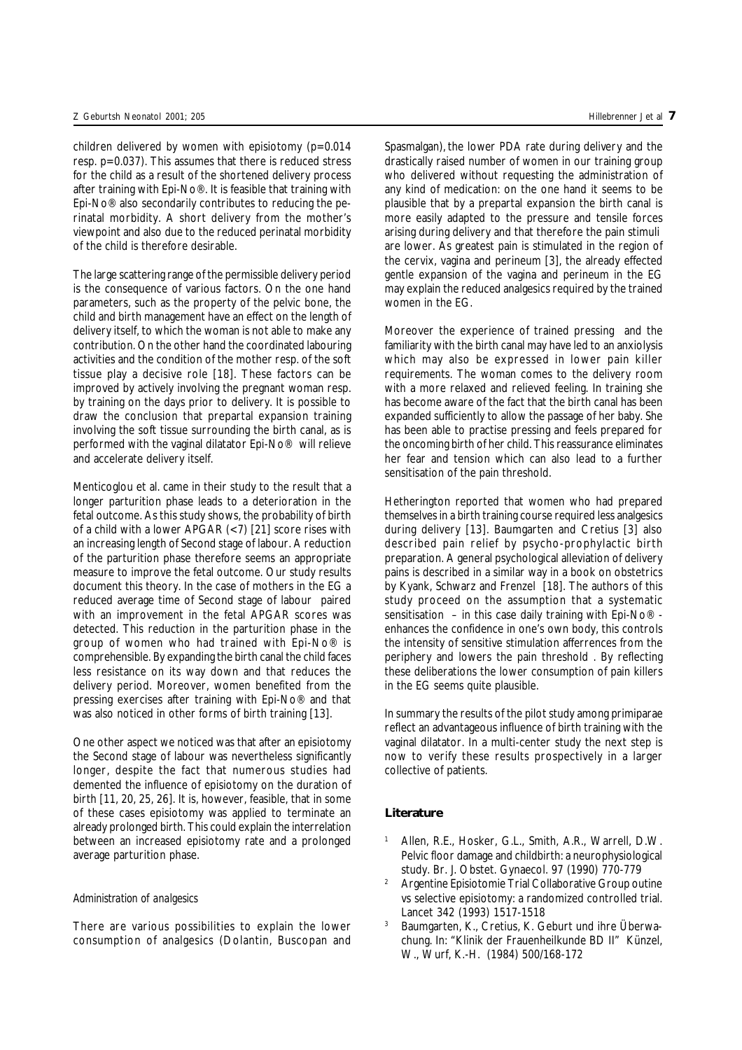children delivered by women with episiotomy  $(p=0.014)$ resp. p=0.037). This assumes that there is reduced stress for the child as a result of the shortened delivery process after training with Epi-No®. It is feasible that training with Epi-No® also secondarily contributes to reducing the perinatal morbidity. A short delivery from the mother's viewpoint and also due to the reduced perinatal morbidity of the child is therefore desirable.

The large scattering range of the permissible delivery period is the consequence of various factors. On the one hand parameters, such as the property of the pelvic bone, the child and birth management have an effect on the length of delivery itself, to which the woman is not able to make any contribution. On the other hand the coordinated labouring activities and the condition of the mother resp. of the soft tissue play a decisive role [18]. These factors can be improved by actively involving the pregnant woman resp. by training on the days prior to delivery. It is possible to draw the conclusion that prepartal expansion training involving the soft tissue surrounding the birth canal, as is performed with the vaginal dilatator Epi-No® will relieve and accelerate delivery itself.

Menticoglou et al. came in their study to the result that a longer parturition phase leads to a deterioration in the fetal outcome. As this study shows, the probability of birth of a child with a lower APGAR  $(< 7)$  [21] score rises with an increasing length of Second stage of labour. A reduction of the parturition phase therefore seems an appropriate measure to improve the fetal outcome. Our study results document this theory. In the case of mothers in the EG a reduced average time of Second stage of labour paired with an improvement in the fetal APGAR scores was detected. This reduction in the parturition phase in the group of women who had trained with Epi-No® is comprehensible. By expanding the birth canal the child faces less resistance on its way down and that reduces the delivery period. Moreover, women benefited from the pressing exercises after training with Epi-No® and that was also noticed in other forms of birth training [13].

One other aspect we noticed was that after an episiotomy the Second stage of labour was nevertheless significantly longer, despite the fact that numerous studies had demented the influence of episiotomy on the duration of birth [11, 20, 25, 26]. It is, however, feasible, that in some of these cases episiotomy was applied to terminate an already prolonged birth. This could explain the interrelation between an increased episiotomy rate and a prolonged average parturition phase.

### *Administration of analgesics*

There are various possibilities to explain the lower consumption of analgesics (Dolantin, Buscopan and Spasmalgan), the lower PDA rate during delivery and the drastically raised number of women in our training group who delivered without requesting the administration of any kind of medication: on the one hand it seems to be plausible that by a prepartal expansion the birth canal is more easily adapted to the pressure and tensile forces arising during delivery and that therefore the pain stimuli are lower. As greatest pain is stimulated in the region of the cervix, vagina and perineum [3], the already effected gentle expansion of the vagina and perineum in the EG may explain the reduced analgesics required by the trained women in the EG.

Moreover the experience of trained pressing and the familiarity with the birth canal may have led to an anxiolysis which may also be expressed in lower pain killer requirements. The woman comes to the delivery room with a more relaxed and relieved feeling. In training she has become aware of the fact that the birth canal has been expanded sufficiently to allow the passage of her baby. She has been able to practise pressing and feels prepared for the oncoming birth of her child. This reassurance eliminates her fear and tension which can also lead to a further sensitisation of the pain threshold.

Hetherington reported that women who had prepared themselves in a birth training course required less analgesics during delivery [13]. Baumgarten and Cretius [3] also described pain relief by psycho-prophylactic birth preparation. A general psychological alleviation of delivery pains is described in a similar way in a book on obstetrics by Kyank, Schwarz and Frenzel [18]. The authors of this study proceed on the assumption that a systematic sensitisation – in this case daily training with Epi-No® enhances the confidence in one's own body, this controls the intensity of sensitive stimulation afferrences from the periphery and lowers the pain threshold . By reflecting these deliberations the lower consumption of pain killers in the EG seems quite plausible.

In summary the results of the pilot study among primiparae reflect an advantageous influence of birth training with the vaginal dilatator. In a multi-center study the next step is now to verify these results prospectively in a larger collective of patients.

# **Literature**

- Allen, R.E., Hosker, G.L., Smith, A.R., Warrell, D.W. Pelvic floor damage and childbirth: a neurophysiological study. Br. J. Obstet. Gynaecol. 97 (1990) 770-779
- <sup>2</sup> Argentine Episiotomie Trial Collaborative Group outine vs selective episiotomy: a randomized controlled trial. Lancet 342 (1993) 1517-1518
- <sup>3</sup> Baumgarten, K., Cretius, K. Geburt und ihre Überwachung. In: "Klinik der Frauenheilkunde BD II" Künzel, W., Wurf, K.-H. (1984) 500/168-172